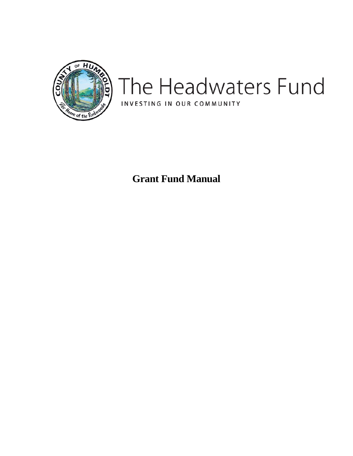

# The Headwaters Fund INVESTING IN OUR COMMUNITY

**Grant Fund Manual**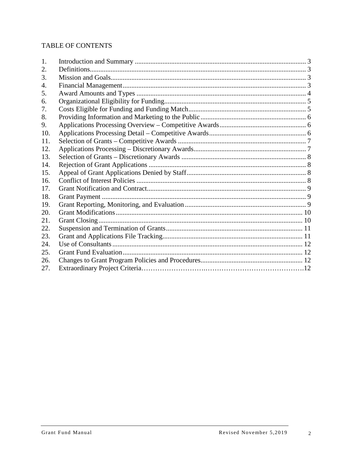# TABLE OF CONTENTS

| 1.  |  |
|-----|--|
| 2.  |  |
| 3.  |  |
| 4.  |  |
| 5.  |  |
| 6.  |  |
| 7.  |  |
| 8.  |  |
| 9.  |  |
| 10. |  |
| 11. |  |
| 12. |  |
| 13. |  |
| 14. |  |
| 15. |  |
| 16. |  |
| 17. |  |
| 18. |  |
| 19. |  |
| 20. |  |
| 21. |  |
| 22. |  |
| 23. |  |
| 24. |  |
| 25. |  |
| 26. |  |
| 27. |  |

 $\overline{c}$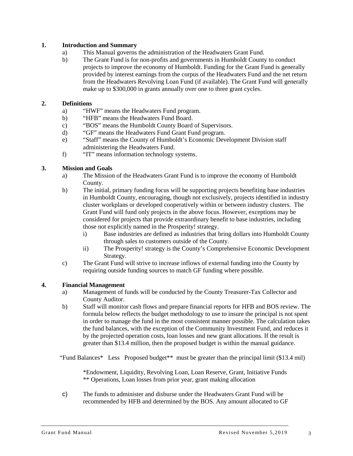#### <span id="page-2-0"></span>**1. Introduction and Summary**

- a) This Manual governs the administration of the Headwaters Grant Fund.
- b) The Grant Fund is for non-profits and governments in Humboldt County to conduct projects to improve the economy of Humboldt. Funding for the Grant Fund is generally provided by interest earnings from the corpus of the Headwaters Fund and the net return from the Headwaters Revolving Loan Fund (if available). The Grant Fund will generally make up to \$300,000 in grants annually over one to three grant cycles.

# <span id="page-2-1"></span>**2. Definitions**

- a) "HWF" means the Headwaters Fund program.
- b) "HFB" means the Headwaters Fund Board.
- c) "BOS" means the Humboldt County Board of Supervisors.
- d) "GF" means the Headwaters Fund Grant Fund program.
- e) "Staff" means the County of Humboldt's Economic Development Division staff administering the Headwaters Fund.
- f) "IT" means information technology systems.

#### <span id="page-2-2"></span>**3. Mission and Goals**

- a) The Mission of the Headwaters Grant Fund is to improve the economy of Humboldt County.
- b) The initial, primary funding focus will be supporting projects benefiting base industries in Humboldt County, encouraging, though not exclusively, projects identified in industry cluster workplans or developed cooperatively within or between industry clusters. The Grant Fund will fund only projects in the above focus. However, exceptions may be considered for projects that provide extraordinary benefit to base industries, including those not explicitly named in the Prosperity! strategy.
	- i) Base industries are defined as industries that bring dollars into Humboldt County through sales to customers outside of the County.
	- ii) The Prosperity! strategy is the County's Comprehensive Economic Development Strategy.
- c) The Grant Fund will strive to increase inflows of external funding into the County by requiring outside funding sources to match GF funding where possible.

#### <span id="page-2-3"></span>**4. Financial Management**

- a) Management of funds will be conducted by the County Treasurer-Tax Collector and County Auditor.
- b) Staff will monitor cash flows and prepare financial reports for HFB and BOS review. The formula below reflects the budget methodology to use to insure the principal is not spent in order to manage the fund in the most consistent manner possible. The calculation takes the fund balances, with the exception of the Community Investment Fund, and reduces it by the projected operation costs, loan losses and new grant allocations. If the result is greater than \$13.4 million, then the proposed budget is within the manual guidance.

"Fund Balances\* Less Proposed budget\*\* must be greater than the principal limit (\$13.4 mil)

\*Endowment, Liquidity, Revolving Loan, Loan Reserve, Grant, Initiative Funds \*\* Operations, Loan losses from prior year, grant making allocation

c) The funds to administer and disburse under the Headwaters Grant Fund will be recommended by HFB and determined by the BOS. Any amount allocated to GF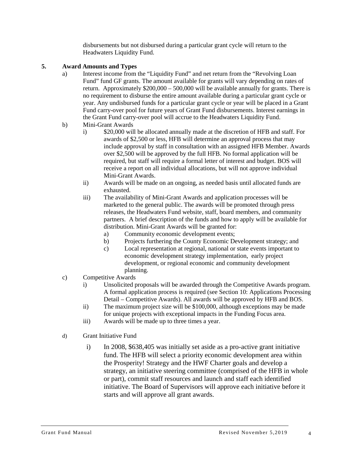disbursements but not disbursed during a particular grant cycle will return to the Headwaters Liquidity Fund.

# <span id="page-3-0"></span>**5. Award Amounts and Types**

- a) Interest income from the "Liquidity Fund" and net return from the "Revolving Loan Fund" fund GF grants. The amount available for grants will vary depending on rates of return. Approximately \$200,000 – 500,000 will be available annually for grants. There is no requirement to disburse the entire amount available during a particular grant cycle or year. Any undisbursed funds for a particular grant cycle or year will be placed in a Grant Fund carry-over pool for future years of Grant Fund disbursements. Interest earnings in the Grant Fund carry-over pool will accrue to the Headwaters Liquidity Fund.
- b) Mini-Grant Awards
	- i) \$20,000 will be allocated annually made at the discretion of HFB and staff. For awards of \$2,500 or less, HFB will determine an approval process that may include approval by staff in consultation with an assigned HFB Member. Awards over \$2,500 will be approved by the full HFB. No formal application will be required, but staff will require a formal letter of interest and budget. BOS will receive a report on all individual allocations, but will not approve individual Mini-Grant Awards.
	- ii) Awards will be made on an ongoing, as needed basis until allocated funds are exhausted.
	- iii) The availability of Mini-Grant Awards and application processes will be marketed to the general public. The awards will be promoted through press releases, the Headwaters Fund website, staff, board members, and community partners. A brief description of the funds and how to apply will be available for distribution. Mini-Grant Awards will be granted for:
		- a) Community economic development events;
		- b) Projects furthering the County Economic Development strategy; and
		- c) Local representation at regional, national or state events important to economic development strategy implementation, early project development, or regional economic and community development planning.
- c) Competitive Awards
	- i) Unsolicited proposals will be awarded through the Competitive Awards program. A formal application process is required (see Section 10: Applications Processing Detail – Competitive Awards). All awards will be approved by HFB and BOS.
	- ii) The maximum project size will be \$100,000, although exceptions may be made for unique projects with exceptional impacts in the Funding Focus area.
	- iii) Awards will be made up to three times a year.
- d) Grant Initiative Fund
	- i) In 2008, \$638,405 was initially set aside as a pro-active grant initiative fund. The HFB will select a priority economic development area within the Prosperity! Strategy and the HWF Charter goals and develop a strategy, an initiative steering committee (comprised of the HFB in whole or part), commit staff resources and launch and staff each identified initiative. The Board of Supervisors will approve each initiative before it starts and will approve all grant awards.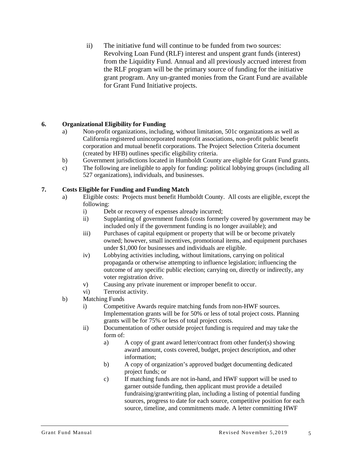ii) The initiative fund will continue to be funded from two sources: Revolving Loan Fund (RLF) interest and unspent grant funds (interest) from the Liquidity Fund. Annual and all previously accrued interest from the RLF program will be the primary source of funding for the initiative grant program. Any un-granted monies from the Grant Fund are available for Grant Fund Initiative projects.

# <span id="page-4-0"></span>**6. Organizational Eligibility for Funding**

- a) Non-profit organizations, including, without limitation, 501c organizations as well as California registered unincorporated nonprofit associations, non-profit public benefit corporation and mutual benefit corporations. The Project Selection Criteria document (created by HFB) outlines specific eligibility criteria.
- b) Government jurisdictions located in Humboldt County are eligible for Grant Fund grants.
- c) The following are ineligible to apply for funding: political lobbying groups (including all 527 organizations), individuals, and businesses.

# <span id="page-4-1"></span>**7. Costs Eligible for Funding and Funding Match**

- a) Eligible costs: Projects must benefit Humboldt County. All costs are eligible, except the following:
	- i) Debt or recovery of expenses already incurred;
	- ii) Supplanting of government funds (costs formerly covered by government may be included only if the government funding is no longer available); and
	- iii) Purchases of capital equipment or property that will be or become privately owned; however, small incentives, promotional items, and equipment purchases under \$1,000 for businesses and individuals are eligible.
	- iv) Lobbying activities including, without limitations, carrying on political propaganda or otherwise attempting to influence legislation; influencing the outcome of any specific public election; carrying on, directly or indirectly, any voter registration drive.
	- v) Causing any private inurement or improper benefit to occur.
	- vi) Terrorist activity.
- b) Matching Funds
	- i) Competitive Awards require matching funds from non-HWF sources. Implementation grants will be for 50% or less of total project costs. Planning grants will be for 75% or less of total project costs.
	- ii) Documentation of other outside project funding is required and may take the form of:
		- a) A copy of grant award letter/contract from other funder(s) showing award amount, costs covered, budget, project description, and other information;
		- b) A copy of organization's approved budget documenting dedicated project funds; or
		- c) If matching funds are not in-hand, and HWF support will be used to garner outside funding, then applicant must provide a detailed fundraising/grantwriting plan, including a listing of potential funding sources, progress to date for each source, competitive position for each source, timeline, and commitments made. A letter committing HWF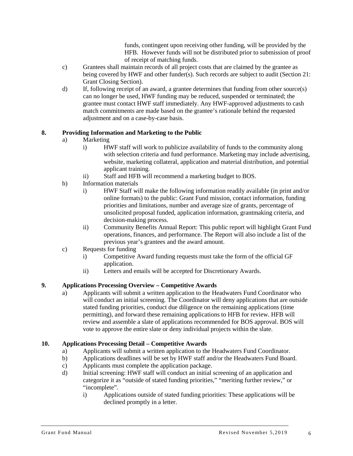funds, contingent upon receiving other funding, will be provided by the HFB. However funds will not be distributed prior to submission of proof of receipt of matching funds.

- c) Grantees shall maintain records of all project costs that are claimed by the grantee as being covered by HWF and other funder(s). Such records are subject to audit (Section 21: Grant Closing Section).
- d) If, following receipt of an award, a grantee determines that funding from other source(s) can no longer be used, HWF funding may be reduced, suspended or terminated; the grantee must contact HWF staff immediately. Any HWF-approved adjustments to cash match commitments are made based on the grantee's rationale behind the requested adjustment and on a case-by-case basis.

# <span id="page-5-0"></span>**8. Providing Information and Marketing to the Public**

- a) Marketing
	- i) HWF staff will work to publicize availability of funds to the community along with selection criteria and fund performance. Marketing may include advertising, website, marketing collateral, application and material distribution, and potential applicant training.
	- ii) Staff and HFB will recommend a marketing budget to BOS.
- b) Information materials
	- i) HWF Staff will make the following information readily available (in print and/or online formats) to the public: Grant Fund mission, contact information, funding priorities and limitations, number and average size of grants, percentage of unsolicited proposal funded, application information, grantmaking criteria, and decision-making process.
	- ii) Community Benefits Annual Report: This public report will highlight Grant Fund operations, finances, and performance. The Report will also include a list of the previous year's grantees and the award amount.
- c) Requests for funding
	- i) Competitive Award funding requests must take the form of the official GF application.
	- ii) Letters and emails will be accepted for Discretionary Awards.

# <span id="page-5-1"></span>**9. Applications Processing Overview – Competitive Awards**

a) Applicants will submit a written application to the Headwaters Fund Coordinator who will conduct an initial screening. The Coordinator will deny applications that are outside stated funding priorities, conduct due diligence on the remaining applications (time permitting), and forward these remaining applications to HFB for review. HFB will review and assemble a slate of applications recommended for BOS approval. BOS will vote to approve the entire slate or deny individual projects within the slate.

# <span id="page-5-2"></span>**10. Applications Processing Detail – Competitive Awards**

- a) Applicants will submit a written application to the Headwaters Fund Coordinator.
- b) Applications deadlines will be set by HWF staff and/or the Headwaters Fund Board.
- c) Applicants must complete the application package.
- d) Initial screening: HWF staff will conduct an initial screening of an application and categorize it as "outside of stated funding priorities," "meriting further review," or "incomplete".
	- i) Applications outside of stated funding priorities: These applications will be declined promptly in a letter.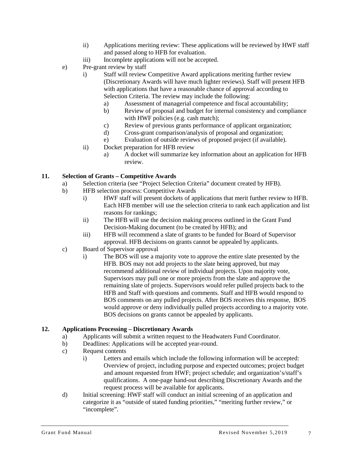- ii) Applications meriting review: These applications will be reviewed by HWF staff and passed along to HFB for evaluation.
- iii) Incomplete applications will not be accepted.
- e) Pre-grant review by staff
	- i) Staff will review Competitive Award applications meriting further review (Discretionary Awards will have much lighter reviews). Staff will present HFB with applications that have a reasonable chance of approval according to Selection Criteria. The review may include the following:
		- a) Assessment of managerial competence and fiscal accountability;
		- b) Review of proposal and budget for internal consistency and compliance with HWF policies (e.g. cash match);
		- c) Review of previous grants performance of applicant organization;
		- d) Cross-grant comparison/analysis of proposal and organization;
		- e) Evaluation of outside reviews of proposed project (if available).
	- ii) Docket preparation for HFB review
		- a) A docket will summarize key information about an application for HFB review.

# <span id="page-6-0"></span>**11. Selection of Grants – Competitive Awards**

- a) Selection criteria (see "Project Selection Criteria" document created by HFB).
- b) HFB selection process: Competitive Awards
	- i) HWF staff will present dockets of applications that merit further review to HFB. Each HFB member will use the selection criteria to rank each application and list reasons for rankings;
	- ii) The HFB will use the decision making process outlined in the Grant Fund Decision-Making document (to be created by HFB); and
	- iii) HFB will recommend a slate of grants to be funded for Board of Supervisor approval. HFB decisions on grants cannot be appealed by applicants.
- c) Board of Supervisor approval
	- i) The BOS will use a majority vote to approve the entire slate presented by the HFB. BOS may not add projects to the slate being approved, but may recommend additional review of individual projects. Upon majority vote, Supervisors may pull one or more projects from the slate and approve the remaining slate of projects. Supervisors would refer pulled projects back to the HFB and Staff with questions and comments. Staff and HFB would respond to BOS comments on any pulled projects. After BOS receives this response, BOS would approve or deny individually pulled projects according to a majority vote. BOS decisions on grants cannot be appealed by applicants.

# <span id="page-6-1"></span>**12. Applications Processing – Discretionary Awards**

- a) Applicants will submit a written request to the Headwaters Fund Coordinator.
- b) Deadlines: Applications will be accepted year-round.
- c) Request contents
	- i) Letters and emails which include the following information will be accepted: Overview of project, including purpose and expected outcomes; project budget and amount requested from HWF; project schedule; and organization's/staff's qualifications. A one-page hand-out describing Discretionary Awards and the request process will be available for applicants.
- d) Initial screening: HWF staff will conduct an initial screening of an application and categorize it as "outside of stated funding priorities," "meriting further review," or "incomplete".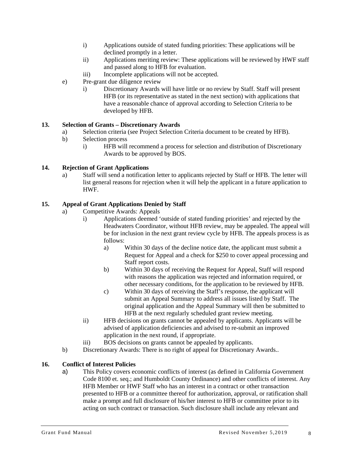- i) Applications outside of stated funding priorities: These applications will be declined promptly in a letter.
- ii) Applications meriting review: These applications will be reviewed by HWF staff and passed along to HFB for evaluation.
- iii) Incomplete applications will not be accepted.
- e) Pre-grant due diligence review
	- i) Discretionary Awards will have little or no review by Staff. Staff will present HFB (or its representative as stated in the next section) with applications that have a reasonable chance of approval according to Selection Criteria to be developed by HFB.

# <span id="page-7-0"></span>**13. Selection of Grants – Discretionary Awards**

- a) Selection criteria (see Project Selection Criteria document to be created by HFB).
- b) Selection process
	- i) HFB will recommend a process for selection and distribution of Discretionary Awards to be approved by BOS.

# <span id="page-7-1"></span>**14. Rejection of Grant Applications**

a) Staff will send a notification letter to applicants rejected by Staff or HFB. The letter will list general reasons for rejection when it will help the applicant in a future application to HWF.

#### <span id="page-7-2"></span>**15. Appeal of Grant Applications Denied by Staff**

- a) Competitive Awards: Appeals
	- i) Applications deemed 'outside of stated funding priorities' and rejected by the Headwaters Coordinator, without HFB review, may be appealed. The appeal will be for inclusion in the next grant review cycle by HFB. The appeals process is as follows:
		- a) Within 30 days of the decline notice date, the applicant must submit a Request for Appeal and a check for \$250 to cover appeal processing and Staff report costs.
		- b) Within 30 days of receiving the Request for Appeal, Staff will respond with reasons the application was rejected and information required, or other necessary conditions, for the application to be reviewed by HFB.
		- c) Within 30 days of receiving the Staff's response, the applicant will submit an Appeal Summary to address all issues listed by Staff. The original application and the Appeal Summary will then be submitted to HFB at the next regularly scheduled grant review meeting.
	- ii) HFB decisions on grants cannot be appealed by applicants. Applicants will be advised of application deficiencies and advised to re-submit an improved application in the next round, if appropriate.
	- iii) BOS decisions on grants cannot be appealed by applicants.
- b) Discretionary Awards: There is no right of appeal for Discretionary Awards..

# <span id="page-7-3"></span>**16. Conflict of Interest Policies**

a) This Policy covers economic conflicts of interest (as defined in California Government Code 8100 et. seq.; and Humboldt County Ordinance) and other conflicts of interest. Any HFB Member or HWF Staff who has an interest in a contract or other transaction presented to HFB or a committee thereof for authorization, approval, or ratification shall make a prompt and full disclosure of his/her interest to HFB or committee prior to its acting on such contract or transaction. Such disclosure shall include any relevant and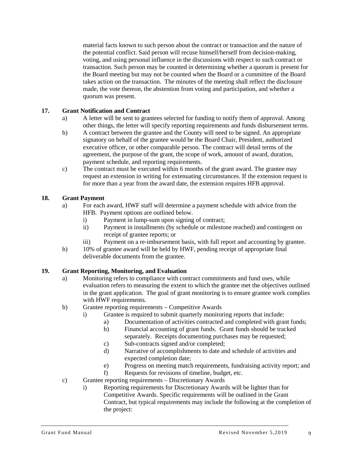material facts known to such person about the contract or transaction and the nature of the potential conflict. Said person will recuse himself/herself from decision-making, voting, and using personal influence in the discussions with respect to such contract or transaction. Such person may be counted in determining whether a quorum is present for the Board meeting but may not be counted when the Board or a committee of the Board takes action on the transaction. The minutes of the meeting shall reflect the disclosure made, the vote thereon, the abstention from voting and participation, and whether a quorum was present.

# <span id="page-8-0"></span>**17. Grant Notification and Contract**

- a) A letter will be sent to grantees selected for funding to notify them of approval. Among other things, the letter will specify reporting requirements and funds disbursement terms.
- b) A contract between the grantee and the County will need to be signed. An appropriate signatory on behalf of the grantee would be the Board Chair, President, authorized executive officer, or other comparable person. The contract will detail terms of the agreement, the purpose of the grant, the scope of work, amount of award, duration, payment schedule, and reporting requirements.
- c) The contract must be executed within 6 months of the grant award. The grantee may request an extension in writing for extenuating circumstances. If the extension request is for more than a year from the award date, the extension requires HFB approval.

# <span id="page-8-1"></span>**18. Grant Payment**

- a) For each award, HWF staff will determine a payment schedule with advice from the HFB. Payment options are outlined below.
	- i) Payment in lump-sum upon signing of contract;
	- ii) Payment in installments (by schedule or milestone reached) and contingent on receipt of grantee reports; or
	- iii) Payment on a re-imbursement basis, with full report and accounting by grantee.
- b) 10% of grantee award will be held by HWF, pending receipt of appropriate final deliverable documents from the grantee.

# <span id="page-8-2"></span>**19. Grant Reporting, Monitoring, and Evaluation**

- a) Monitoring refers to compliance with contract commitments and fund uses, while evaluation refers to measuring the extent to which the grantee met the objectives outlined in the grant application. The goal of grant monitoring is to ensure grantee work complies with HWF requirements.
- b) Grantee reporting requirements Competitive Awards
	- i) Grantee is required to submit quarterly monitoring reports that include:
		- a) Documentation of activities contracted and completed with grant funds;
		- b) Financial accounting of grant funds. Grant funds should be tracked separately. Receipts documenting purchases may be requested;
		- c) Sub-contracts signed and/or completed;
		- d) Narrative of accomplishments to date and schedule of activities and expected completion date;
		- e) Progress on meeting match requirements, fundraising activity report; and
		- f) Requests for revisions of timeline, budget, etc.
- c) Grantee reporting requirements Discretionary Awards
	- i) Reporting requirements for Discretionary Awards will be lighter than for Competitive Awards. Specific requirements will be outlined in the Grant Contract, but typical requirements may include the following at the completion of the project: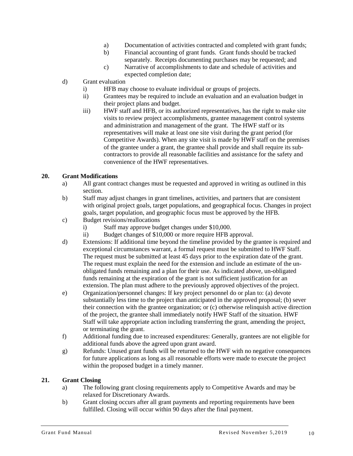- a) Documentation of activities contracted and completed with grant funds;
- b) Financial accounting of grant funds. Grant funds should be tracked separately. Receipts documenting purchases may be requested; and
- c) Narrative of accomplishments to date and schedule of activities and expected completion date;
- d) Grant evaluation
	- i) HFB may choose to evaluate individual or groups of projects.
	- ii) Grantees may be required to include an evaluation and an evaluation budget in their project plans and budget.
	- iii) HWF staff and HFB, or its authorized representatives, has the right to make site visits to review project accomplishments, grantee management control systems and administration and management of the grant. The HWF staff or its representatives will make at least one site visit during the grant period (for Competitive Awards). When any site visit is made by HWF staff on the premises of the grantee under a grant, the grantee shall provide and shall require its subcontractors to provide all reasonable facilities and assistance for the safety and convenience of the HWF representatives.

# <span id="page-9-0"></span>**20. Grant Modifications**

- a) All grant contract changes must be requested and approved in writing as outlined in this section.
- b) Staff may adjust changes in grant timelines, activities, and partners that are consistent with original project goals, target populations, and geographical focus. Changes in project goals, target population, and geographic focus must be approved by the HFB.
- c) Budget revisions/reallocations
	- i) Staff may approve budget changes under \$10,000.
	- ii) Budget changes of \$10,000 or more require HFB approval.
- d) Extensions: If additional time beyond the timeline provided by the grantee is required and exceptional circumstances warrant, a formal request must be submitted to HWF Staff. The request must be submitted at least 45 days prior to the expiration date of the grant. The request must explain the need for the extension and include an estimate of the unobligated funds remaining and a plan for their use. As indicated above, un-obligated funds remaining at the expiration of the grant is not sufficient justification for an extension. The plan must adhere to the previously approved objectives of the project.
- e) Organization/personnel changes: If key project personnel do or plan to: (a) devote substantially less time to the project than anticipated in the approved proposal; (b) sever their connection with the grantee organization; or (c) otherwise relinquish active direction of the project, the grantee shall immediately notify HWF Staff of the situation. HWF Staff will take appropriate action including transferring the grant, amending the project, or terminating the grant.
- f) Additional funding due to increased expenditures: Generally, grantees are not eligible for additional funds above the agreed upon grant award.
- g) Refunds: Unused grant funds will be returned to the HWF with no negative consequences for future applications as long as all reasonable efforts were made to execute the project within the proposed budget in a timely manner.

#### <span id="page-9-1"></span>**21. Grant Closing**

- a) The following grant closing requirements apply to Competitive Awards and may be relaxed for Discretionary Awards.
- b) Grant closing occurs after all grant payments and reporting requirements have been fulfilled. Closing will occur within 90 days after the final payment.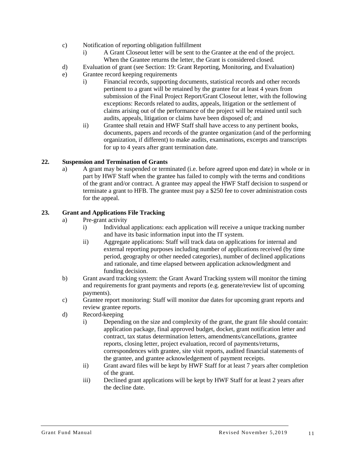- c) Notification of reporting obligation fulfillment
	- i) A Grant Closeout letter will be sent to the Grantee at the end of the project. When the Grantee returns the letter, the Grant is considered closed.
- d) Evaluation of grant (see Section: 19: Grant Reporting, Monitoring, and Evaluation)
- e) Grantee record keeping requirements
	- i) Financial records, supporting documents, statistical records and other records pertinent to a grant will be retained by the grantee for at least 4 years from submission of the Final Project Report/Grant Closeout letter, with the following exceptions: Records related to audits, appeals, litigation or the settlement of claims arising out of the performance of the project will be retained until such audits, appeals, litigation or claims have been disposed of; and
	- ii) Grantee shall retain and HWF Staff shall have access to any pertinent books, documents, papers and records of the grantee organization (and of the performing organization, if different) to make audits, examinations, excerpts and transcripts for up to 4 years after grant termination date.

#### <span id="page-10-0"></span>**22. Suspension and Termination of Grants**

a) A grant may be suspended or terminated (i.e. before agreed upon end date) in whole or in part by HWF Staff when the grantee has failed to comply with the terms and conditions of the grant and/or contract. A grantee may appeal the HWF Staff decision to suspend or terminate a grant to HFB. The grantee must pay a \$250 fee to cover administration costs for the appeal.

# <span id="page-10-1"></span>**23. Grant and Applications File Tracking**

- a) Pre-grant activity
	- i) Individual applications: each application will receive a unique tracking number and have its basic information input into the IT system.
	- ii) Aggregate applications: Staff will track data on applications for internal and external reporting purposes including number of applications received (by time period, geography or other needed categories), number of declined applications and rationale, and time elapsed between application acknowledgment and funding decision.
- b) Grant award tracking system: the Grant Award Tracking system will monitor the timing and requirements for grant payments and reports (e.g. generate/review list of upcoming payments).
- c) Grantee report monitoring: Staff will monitor due dates for upcoming grant reports and review grantee reports.
- d) Record-keeping
	- i) Depending on the size and complexity of the grant, the grant file should contain: application package, final approved budget, docket, grant notification letter and contract, tax status determination letters, amendments/cancellations, grantee reports, closing letter, project evaluation, record of payments/returns, correspondences with grantee, site visit reports, audited financial statements of the grantee, and grantee acknowledgement of payment receipts.
	- ii) Grant award files will be kept by HWF Staff for at least 7 years after completion of the grant.
	- iii) Declined grant applications will be kept by HWF Staff for at least 2 years after the decline date.